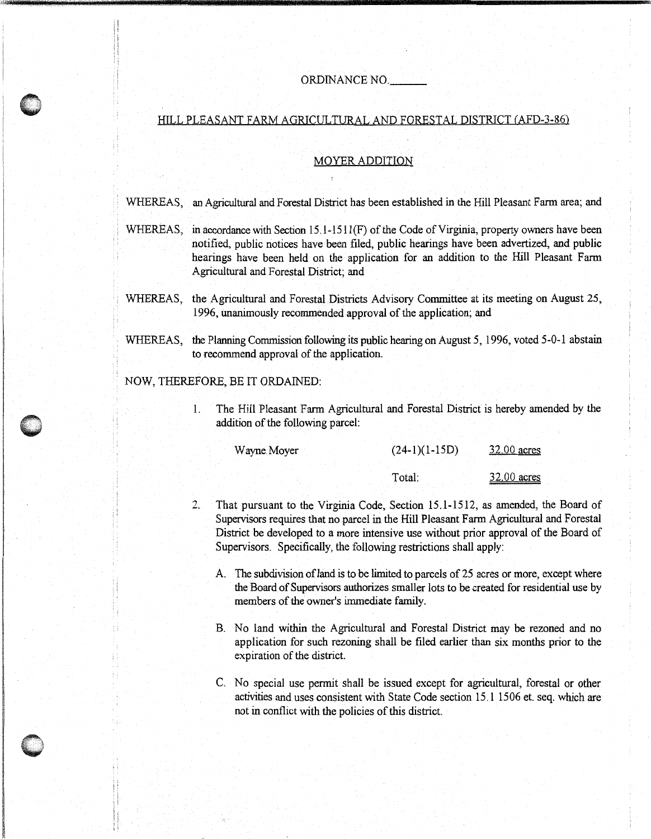## ORDINANCE NO. \_\_

## HILL PLEASANT FARM AGRICULTURAL AND FORESTAL DISTRICT (AFD-3-86)

## MOYER ADDITION

WHEREAS, an Agricultural and Forestal District has been established in the Hill Pleasant Farm area; and

- WHEREAS, in accordance with Section 15.1-1511(F) of the Code of Virginia, property owners have been notified, public notices have been filed, public hearings have been advertized, and public hearings have been held on the application for an addition to the Hill Pleasant Farm Agricultural and Forestal District; and
- WHEREAS, the Agricultural and Forestal Districts Advisory Committee at its meeting on August 25, 1996, unanimously recommended approval of the application; and
- WHEREAS, the Planning Commission following its public hearing on August 5, 1996, voted 5-0-1 abstain to recommend approval of the application.

## NOW, THEREFORE, BE IT ORDAINED:

' : '

1. The Hill Pleasant Farm Agricultural and Foresta! District is hereby amended by the addition of the following parcel:

| Wayne Moyer | $(24-1)(1-15D)$ | 32.00 acres |  |
|-------------|-----------------|-------------|--|
|             |                 |             |  |
|             | Total:          | 32.00 acres |  |

- 2. That pursuant to the Virginia Code, Section 15.1-1512, as amended, the Board of Supervisors requires that no parcel in the Hill Pleasant Farm Agricultural and Forestal District be developed to a more intensive use without prior approval of the Board of Supervisors. Specifically, the following restrictions shall apply:
	- A. The subdivision ofland is to be limited to parcels of 25 acres or more, except where the Board of Supervisors authorizes smaller lots to be created for residential use by members of the owner's immediate family.
	- B. No land within the Agricultural and Forestal District may be rezoned and no application for such rezoning shall be filed earlier than six months prior to the expiration of the district.
	- C. No special use permit shall be issued except for agricultural, forestal or other activities and uses consistent with State Code section 15.1 1506 et. seq. which are not in conflict with the policies of this district.